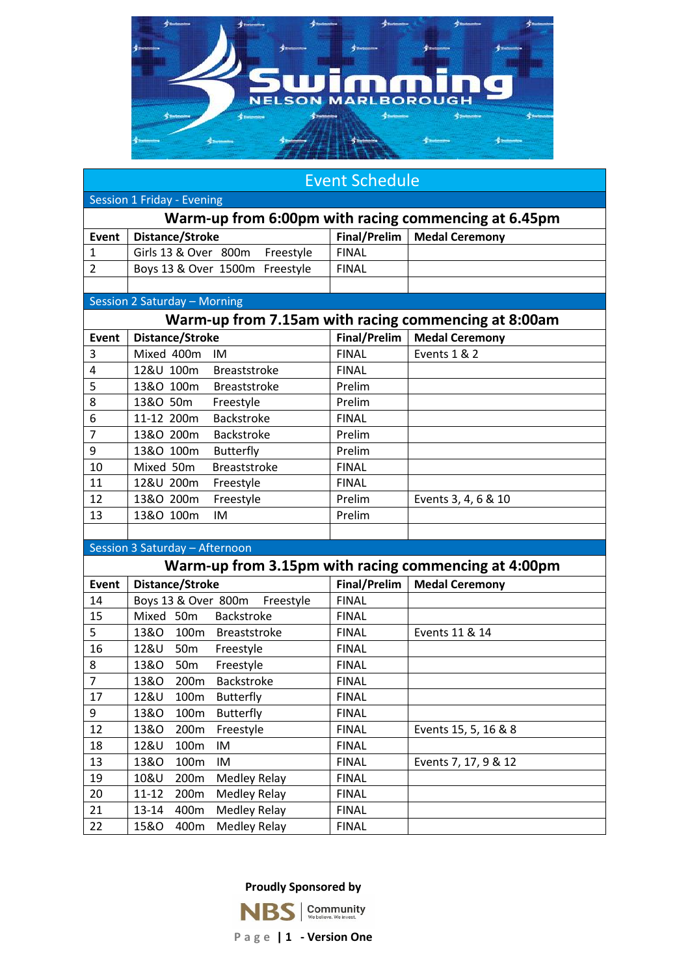

| <b>Event Schedule</b>                                |                                                      |              |                       |  |  |
|------------------------------------------------------|------------------------------------------------------|--------------|-----------------------|--|--|
| Session 1 Friday - Evening                           |                                                      |              |                       |  |  |
| Warm-up from 6:00pm with racing commencing at 6.45pm |                                                      |              |                       |  |  |
| Event                                                | <b>Distance/Stroke</b>                               | Final/Prelim | <b>Medal Ceremony</b> |  |  |
| 1                                                    | Girls 13 & Over 800m<br>Freestyle                    | <b>FINAL</b> |                       |  |  |
| 2                                                    | Boys 13 & Over 1500m Freestyle                       | <b>FINAL</b> |                       |  |  |
|                                                      |                                                      |              |                       |  |  |
|                                                      | Session 2 Saturday - Morning                         |              |                       |  |  |
| Warm-up from 7.15am with racing commencing at 8:00am |                                                      |              |                       |  |  |
| <b>Event</b>                                         | Distance/Stroke                                      | Final/Prelim | <b>Medal Ceremony</b> |  |  |
| 3                                                    | Mixed 400m<br>IM                                     | <b>FINAL</b> | Events 1 & 2          |  |  |
| 4                                                    | 12&U 100m<br><b>Breaststroke</b>                     | <b>FINAL</b> |                       |  |  |
| 5                                                    | 13&O 100m<br><b>Breaststroke</b>                     | Prelim       |                       |  |  |
| 8                                                    | 13&O 50m<br>Freestyle                                | Prelim       |                       |  |  |
| 6                                                    | 11-12 200m<br>Backstroke                             | <b>FINAL</b> |                       |  |  |
| $\overline{7}$                                       | 13&O 200m<br>Backstroke                              | Prelim       |                       |  |  |
| 9                                                    | 13&O 100m<br><b>Butterfly</b>                        | Prelim       |                       |  |  |
| 10                                                   | Mixed 50m<br><b>Breaststroke</b>                     | <b>FINAL</b> |                       |  |  |
| 11                                                   | 12&U 200m<br>Freestyle                               | <b>FINAL</b> |                       |  |  |
| 12                                                   | 13&O 200m<br>Freestyle                               | Prelim       | Events 3, 4, 6 & 10   |  |  |
| 13                                                   | 13&O 100m<br>IM                                      | Prelim       |                       |  |  |
|                                                      |                                                      |              |                       |  |  |
|                                                      | Session 3 Saturday - Afternoon                       |              |                       |  |  |
|                                                      | Warm-up from 3.15pm with racing commencing at 4:00pm |              |                       |  |  |
| Event                                                | Distance/Stroke                                      | Final/Prelim | <b>Medal Ceremony</b> |  |  |
| 14                                                   | Boys 13 & Over 800m<br>Freestyle                     | <b>FINAL</b> |                       |  |  |
| 15                                                   | Mixed 50m<br><b>Backstroke</b>                       | <b>FINAL</b> |                       |  |  |
| 5                                                    | 13&O 100m Breaststroke                               | <b>FINAL</b> | Events 11 & 14        |  |  |
| 16                                                   | 12&U<br>50 <sub>m</sub><br>Freestyle                 | <b>FINAL</b> |                       |  |  |
| 8                                                    | 13&0<br>50 <sub>m</sub><br>Freestyle                 | <b>FINAL</b> |                       |  |  |
| $\overline{7}$                                       | 200m<br>Backstroke<br>13&0                           | <b>FINAL</b> |                       |  |  |
| 17                                                   | 12&U<br>100m<br><b>Butterfly</b>                     | <b>FINAL</b> |                       |  |  |
| 9                                                    | 13&O<br>100m<br><b>Butterfly</b>                     | <b>FINAL</b> |                       |  |  |
| 12                                                   | 200m<br>13&0<br>Freestyle                            | <b>FINAL</b> | Events 15, 5, 16 & 8  |  |  |
| 18                                                   | 12&U<br>100m<br>IM                                   | <b>FINAL</b> |                       |  |  |
| 13                                                   | IM<br>13&O<br>100m                                   | <b>FINAL</b> | Events 7, 17, 9 & 12  |  |  |
| 19                                                   | 200m<br><b>Medley Relay</b><br>10&U                  | <b>FINAL</b> |                       |  |  |
| 20                                                   | <b>Medley Relay</b><br>11-12<br>200m                 | <b>FINAL</b> |                       |  |  |
| 21                                                   | 400m<br><b>Medley Relay</b><br>13-14                 | <b>FINAL</b> |                       |  |  |
| 22                                                   | <b>Medley Relay</b><br><b>15&amp;O</b><br>400m       | <b>FINAL</b> |                       |  |  |

**Proudly Sponsored by**



**P a g e | 1 - Version One**